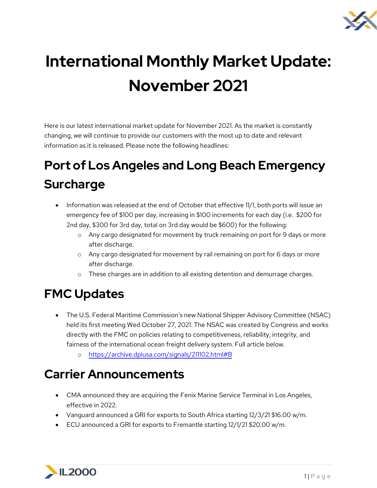

# **International Monthly Market Update: November 2021**

Here is our latest international market update for November 2021. As the market is constantly changing, we will continue to provide our customers with the most up to date and relevant information as it is released. Please note the following headlines:

# **Port of Los Angeles and Long Beach Emergency Surcharge**

- Information was released at the end of October that effective 11/1, both ports will issue an emergency fee of \$100 per day, increasing in \$100 increments for each day (i.e. \$200 for 2nd day, \$300 for 3rd day, total on 3rd day would be \$600) for the following:
	- o Any cargo designated for movement by truck remaining on port for 9 days or more after discharge.
	- o Any cargo designated for movement by rail remaining on port for 6 days or more after discharge.
	- o These charges are in addition to all existing detention and demurrage charges.

# **FMC Updates**

- The U.S. Federal Maritime Commission's new National Shipper Advisory Committee (NSAC) held its first meeting Wed October 27, 2021. The NSAC was created by Congress and works directly with the FMC on policies relating to competitiveness, reliability, integrity, and fairness of the international ocean freight delivery system. Full article below.
	- o <https://archive.dpiusa.com/signals/211102.html#B>

#### **Carrier Announcements**

- CMA announced they are acquiring the Fenix Marine Service Terminal in Los Angeles, effective in 2022.
- Vanguard announced a GRI for exports to South Africa starting 12/3/21 \$16.00 w/m.
- ECU announced a GRI for exports to Fremantle starting 12/1/21 \$20.00 w/m.